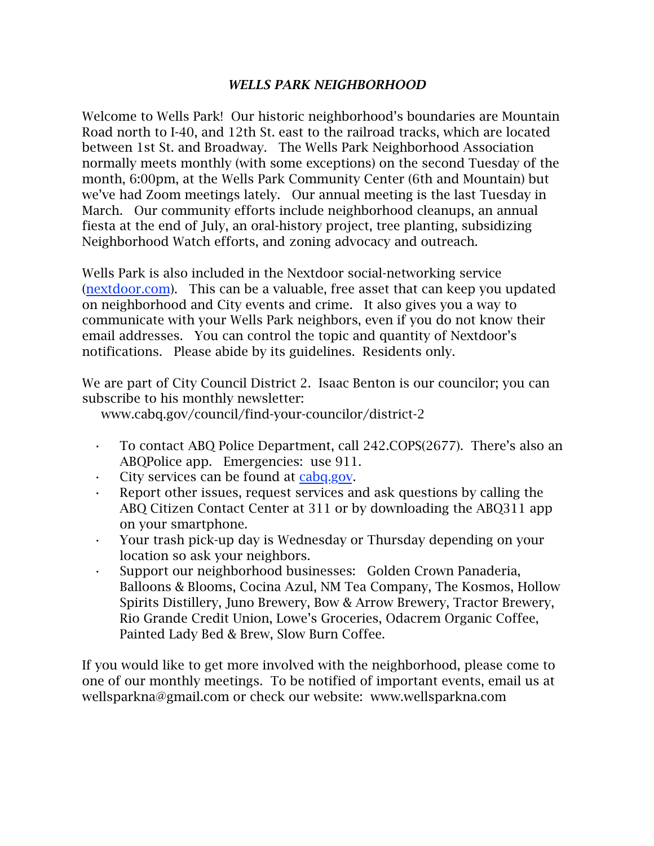## *WELLS PARK NEIGHBORHOOD*

Welcome to Wells Park! Our historic neighborhood's boundaries are Mountain Road north to I-40, and 12th St. east to the railroad tracks, which are located between 1st St. and Broadway. The Wells Park Neighborhood Association normally meets monthly (with some exceptions) on the second Tuesday of the month, 6:00pm, at the Wells Park Community Center (6th and Mountain) but we've had Zoom meetings lately. Our annual meeting is the last Tuesday in March. Our community efforts include neighborhood cleanups, an annual fiesta at the end of July, an oral-history project, tree planting, subsidizing Neighborhood Watch efforts, and zoning advocacy and outreach.

Wells Park is also included in the Nextdoor social-networking service ([nextdoor.com\)](http://nextdoor.com/). This can be a valuable, free asset that can keep you updated on neighborhood and City events and crime. It also gives you a way to communicate with your Wells Park neighbors, even if you do not know their email addresses. You can control the topic and quantity of Nextdoor's notifications. Please abide by its guidelines. Residents only.

We are part of City Council District 2. Isaac Benton is our councilor; you can subscribe to his monthly newsletter:

www.cabq.gov/council/find-your-councilor/district-2

- To contact ABQ Police Department, call 242.COPS(2677). There's also an ABQPolice app. Emergencies: use 911.
- City services can be found at [cabq.gov](http://cabq.gov/).
- Report other issues, request services and ask questions by calling the ABQ Citizen Contact Center at 311 or by downloading the ABQ311 app on your smartphone.
- Your trash pick-up day is Wednesday or Thursday depending on your location so ask your neighbors.
- Support our neighborhood businesses: Golden Crown Panaderia, Balloons & Blooms, Cocina Azul, NM Tea Company, The Kosmos, Hollow Spirits Distillery, Juno Brewery, Bow & Arrow Brewery, Tractor Brewery, Rio Grande Credit Union, Lowe's Groceries, Odacrem Organic Coffee, Painted Lady Bed & Brew, Slow Burn Coffee.

If you would like to get more involved with the neighborhood, please come to one of our monthly meetings. To be notified of important events, email us at wellsparkna@gmail.com or check our website: www.wellsparkna.com